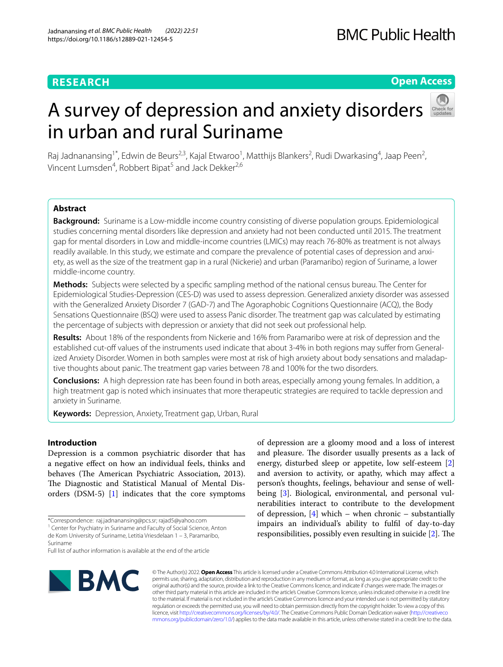# **RESEARCH**

# **Open Access**

# A survey of depression and anxiety disorders in urban and rural Suriname



Raj Jadnanansing<sup>1\*</sup>, Edwin de Beurs<sup>2,3</sup>, Kajal Etwaroo<sup>1</sup>, Matthijs Blankers<sup>2</sup>, Rudi Dwarkasing<sup>4</sup>, Jaap Peen<sup>2</sup>, Vincent Lumsden<sup>4</sup>, Robbert Bipat<sup>5</sup> and Jack Dekker<sup>2,6</sup>

# **Abstract**

**Background:** Suriname is a Low-middle income country consisting of diverse population groups. Epidemiological studies concerning mental disorders like depression and anxiety had not been conducted until 2015. The treatment gap for mental disorders in Low and middle-income countries (LMICs) may reach 76-80% as treatment is not always readily available. In this study, we estimate and compare the prevalence of potential cases of depression and anxiety, as well as the size of the treatment gap in a rural (Nickerie) and urban (Paramaribo) region of Suriname, a lower middle-income country.

**Methods:** Subjects were selected by a specifc sampling method of the national census bureau. The Center for Epidemiological Studies-Depression (CES-D) was used to assess depression. Generalized anxiety disorder was assessed with the Generalized Anxiety Disorder 7 (GAD-7) and The Agoraphobic Cognitions Questionnaire (ACQ), the Body Sensations Questionnaire (BSQ) were used to assess Panic disorder. The treatment gap was calculated by estimating the percentage of subjects with depression or anxiety that did not seek out professional help.

**Results:** About 18% of the respondents from Nickerie and 16% from Paramaribo were at risk of depression and the established cut-off values of the instruments used indicate that about 3-4% in both regions may suffer from Generalized Anxiety Disorder. Women in both samples were most at risk of high anxiety about body sensations and maladaptive thoughts about panic. The treatment gap varies between 78 and 100% for the two disorders.

**Conclusions:** A high depression rate has been found in both areas, especially among young females. In addition, a high treatment gap is noted which insinuates that more therapeutic strategies are required to tackle depression and anxiety in Suriname.

**Keywords:** Depression, Anxiety, Treatment gap, Urban, Rural

# **Introduction**

Depression is a common psychiatric disorder that has a negative efect on how an individual feels, thinks and behaves (The American Psychiatric Association, 2013). The Diagnostic and Statistical Manual of Mental Disorders (DSM-5) [\[1\]](#page-9-0) indicates that the core symptoms

BMC

of depression are a gloomy mood and a loss of interest and pleasure. The disorder usually presents as a lack of energy, disturbed sleep or appetite, low self-esteem [\[2](#page-9-1)] and aversion to activity, or apathy, which may afect a person's thoughts, feelings, behaviour and sense of well-being [[3\]](#page-9-2). Biological, environmental, and personal vulnerabilities interact to contribute to the development of depression,  $[4]$  which – when chronic – substantially impairs an individual's ability to fulfl of day-to-day responsibilities, possibly even resulting in suicide  $[2]$  $[2]$  $[2]$ . The

© The Author(s) 2022. **Open Access** This article is licensed under a Creative Commons Attribution 4.0 International License, which permits use, sharing, adaptation, distribution and reproduction in any medium or format, as long as you give appropriate credit to the original author(s) and the source, provide a link to the Creative Commons licence, and indicate if changes were made. The images or other third party material in this article are included in the article's Creative Commons licence, unless indicated otherwise in a credit line to the material. If material is not included in the article's Creative Commons licence and your intended use is not permitted by statutory regulation or exceeds the permitted use, you will need to obtain permission directly from the copyright holder. To view a copy of this licence, visit [http://creativecommons.org/licenses/by/4.0/.](http://creativecommons.org/licenses/by/4.0/) The Creative Commons Public Domain Dedication waiver ([http://creativeco](http://creativecommons.org/publicdomain/zero/1.0/) [mmons.org/publicdomain/zero/1.0/](http://creativecommons.org/publicdomain/zero/1.0/)) applies to the data made available in this article, unless otherwise stated in a credit line to the data.

<sup>\*</sup>Correspondence: raj.jadnanansing@pcs.sr; rajad5@yahoo.com <sup>1</sup> Center for Psychiatry in Suriname and Faculty of Social Science, Anton de Kom University of Suriname, Letitia Vriesdelaan 1 – 3, Paramaribo, Suriname

Full list of author information is available at the end of the article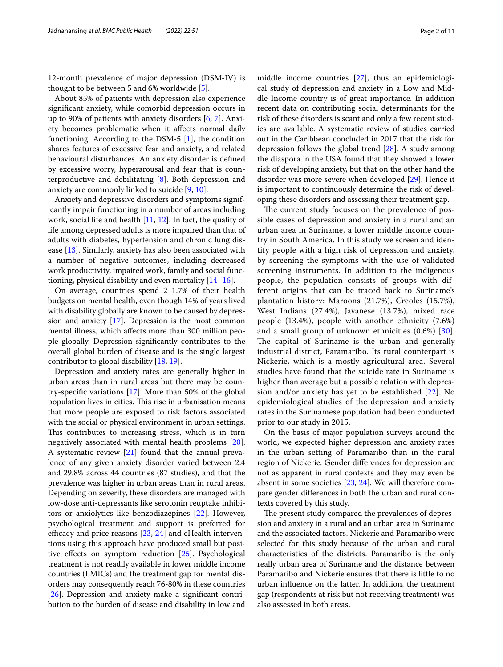12-month prevalence of major depression (DSM-IV) is thought to be between 5 and 6% worldwide [\[5](#page-9-4)].

About 85% of patients with depression also experience signifcant anxiety, while comorbid depression occurs in up to 90% of patients with anxiety disorders [\[6,](#page-9-5) [7\]](#page-9-6). Anxiety becomes problematic when it afects normal daily functioning. According to the DSM-5 [[1\]](#page-9-0), the condition shares features of excessive fear and anxiety, and related behavioural disturbances. An anxiety disorder is defned by excessive worry, hyperarousal and fear that is counterproductive and debilitating [\[8](#page-9-7)]. Both depression and anxiety are commonly linked to suicide [[9,](#page-9-8) [10](#page-9-9)].

Anxiety and depressive disorders and symptoms significantly impair functioning in a number of areas including work, social life and health [\[11](#page-9-10), [12\]](#page-9-11). In fact, the quality of life among depressed adults is more impaired than that of adults with diabetes, hypertension and chronic lung disease [[13\]](#page-9-12). Similarly, anxiety has also been associated with a number of negative outcomes, including decreased work productivity, impaired work, family and social functioning, physical disability and even mortality [[14](#page-9-13)[–16](#page-9-14)].

On average, countries spend 2 1.7% of their health budgets on mental health, even though 14% of years lived with disability globally are known to be caused by depression and anxiety [\[17](#page-9-15)]. Depression is the most common mental illness, which afects more than 300 million people globally. Depression signifcantly contributes to the overall global burden of disease and is the single largest contributor to global disability [\[18,](#page-9-16) [19](#page-9-17)].

Depression and anxiety rates are generally higher in urban areas than in rural areas but there may be country-specifc variations [[17\]](#page-9-15). More than 50% of the global population lives in cities. This rise in urbanisation means that more people are exposed to risk factors associated with the social or physical environment in urban settings. This contributes to increasing stress, which is in turn negatively associated with mental health problems [\[20](#page-9-18)]. A systematic review [\[21](#page-9-19)] found that the annual prevalence of any given anxiety disorder varied between 2.4 and 29.8% across 44 countries (87 studies), and that the prevalence was higher in urban areas than in rural areas. Depending on severity, these disorders are managed with low-dose anti-depressants like serotonin reuptake inhibitors or anxiolytics like benzodiazepines [\[22](#page-9-20)]. However, psychological treatment and support is preferred for efficacy and price reasons  $[23, 24]$  $[23, 24]$  $[23, 24]$  $[23, 24]$  and eHealth interventions using this approach have produced small but positive efects on symptom reduction [[25\]](#page-9-23). Psychological treatment is not readily available in lower middle income countries (LMICs) and the treatment gap for mental disorders may consequently reach 76-80% in these countries [[26\]](#page-9-24). Depression and anxiety make a significant contribution to the burden of disease and disability in low and middle income countries [[27\]](#page-9-25), thus an epidemiological study of depression and anxiety in a Low and Middle Income country is of great importance. In addition recent data on contributing social determinants for the risk of these disorders is scant and only a few recent studies are available. A systematic review of studies carried out in the Caribbean concluded in 2017 that the risk for depression follows the global trend [[28\]](#page-9-26). A study among the diaspora in the USA found that they showed a lower risk of developing anxiety, but that on the other hand the disorder was more severe when developed [[29](#page-9-27)]. Hence it is important to continuously determine the risk of developing these disorders and assessing their treatment gap.

The current study focuses on the prevalence of possible cases of depression and anxiety in a rural and an urban area in Suriname, a lower middle income country in South America. In this study we screen and identify people with a high risk of depression and anxiety, by screening the symptoms with the use of validated screening instruments. In addition to the indigenous people, the population consists of groups with different origins that can be traced back to Suriname's plantation history: Maroons (21.7%), Creoles (15.7%), West Indians (27.4%), Javanese (13.7%), mixed race people (13.4%), people with another ethnicity (7.6%) and a small group of unknown ethnicities (0.6%) [[30\]](#page-10-0). The capital of Suriname is the urban and generally industrial district, Paramaribo. Its rural counterpart is Nickerie, which is a mostly agricultural area. Several studies have found that the suicide rate in Suriname is higher than average but a possible relation with depression and/or anxiety has yet to be established [\[22](#page-9-20)]. No epidemiological studies of the depression and anxiety rates in the Surinamese population had been conducted prior to our study in 2015.

On the basis of major population surveys around the world, we expected higher depression and anxiety rates in the urban setting of Paramaribo than in the rural region of Nickerie. Gender diferences for depression are not as apparent in rural contexts and they may even be absent in some societies [\[23](#page-9-21), [24\]](#page-9-22). We will therefore compare gender diferences in both the urban and rural contexts covered by this study.

The present study compared the prevalences of depression and anxiety in a rural and an urban area in Suriname and the associated factors. Nickerie and Paramaribo were selected for this study because of the urban and rural characteristics of the districts. Paramaribo is the only really urban area of Suriname and the distance between Paramaribo and Nickerie ensures that there is little to no urban infuence on the latter. In addition, the treatment gap (respondents at risk but not receiving treatment) was also assessed in both areas.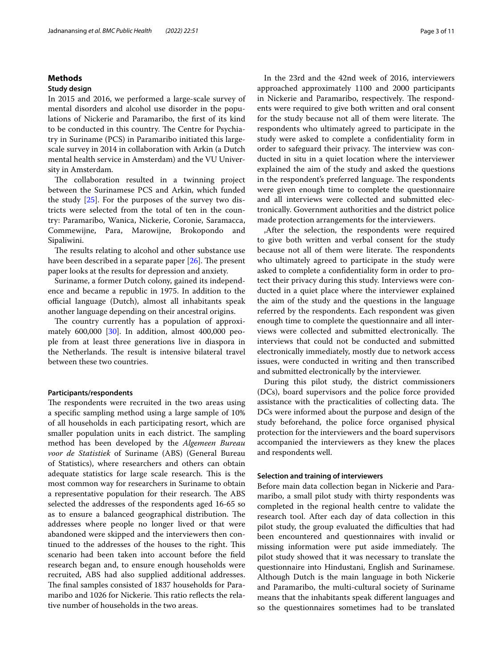# **Methods**

#### **Study design**

In 2015 and 2016, we performed a large-scale survey of mental disorders and alcohol use disorder in the populations of Nickerie and Paramaribo, the frst of its kind to be conducted in this country. The Centre for Psychiatry in Suriname (PCS) in Paramaribo initiated this largescale survey in 2014 in collaboration with Arkin (a Dutch mental health service in Amsterdam) and the VU University in Amsterdam.

The collaboration resulted in a twinning project between the Surinamese PCS and Arkin, which funded the study [\[25](#page-9-23)]. For the purposes of the survey two districts were selected from the total of ten in the country: Paramaribo, Wanica, Nickerie, Coronie, Saramacca, Commewijne, Para, Marowijne, Brokopondo and Sipaliwini.

The results relating to alcohol and other substance use have been described in a separate paper  $[26]$  $[26]$ . The present paper looks at the results for depression and anxiety.

Suriname, a former Dutch colony, gained its independence and became a republic in 1975. In addition to the official language (Dutch), almost all inhabitants speak another language depending on their ancestral origins.

The country currently has a population of approximately 600,000 [\[30](#page-10-0)]. In addition, almost 400,000 people from at least three generations live in diaspora in the Netherlands. The result is intensive bilateral travel between these two countries.

# **Participants/respondents**

The respondents were recruited in the two areas using a specifc sampling method using a large sample of 10% of all households in each participating resort, which are smaller population units in each district. The sampling method has been developed by the *Algemeen Bureau voor de Statistiek* of Suriname (ABS) (General Bureau of Statistics), where researchers and others can obtain adequate statistics for large scale research. This is the most common way for researchers in Suriname to obtain a representative population for their research. The ABS selected the addresses of the respondents aged 16-65 so as to ensure a balanced geographical distribution. The addresses where people no longer lived or that were abandoned were skipped and the interviewers then continued to the addresses of the houses to the right. This scenario had been taken into account before the feld research began and, to ensure enough households were recruited, ABS had also supplied additional addresses. The final samples consisted of 1837 households for Paramaribo and 1026 for Nickerie. This ratio reflects the relative number of households in the two areas.

In the 23rd and the 42nd week of 2016, interviewers approached approximately 1100 and 2000 participants in Nickerie and Paramaribo, respectively. The respondents were required to give both written and oral consent for the study because not all of them were literate. The respondents who ultimately agreed to participate in the study were asked to complete a confdentiality form in order to safeguard their privacy. The interview was conducted in situ in a quiet location where the interviewer explained the aim of the study and asked the questions in the respondent's preferred language. The respondents were given enough time to complete the questionnaire and all interviews were collected and submitted electronically. Government authorities and the district police made protection arrangements for the interviewers.

,After the selection, the respondents were required to give both written and verbal consent for the study because not all of them were literate. The respondents who ultimately agreed to participate in the study were asked to complete a confdentiality form in order to protect their privacy during this study. Interviews were conducted in a quiet place where the interviewer explained the aim of the study and the questions in the language referred by the respondents. Each respondent was given enough time to complete the questionnaire and all interviews were collected and submitted electronically. The interviews that could not be conducted and submitted electronically immediately, mostly due to network access issues, were conducted in writing and then transcribed and submitted electronically by the interviewer.

During this pilot study, the district commissioners (DCs), board supervisors and the police force provided assistance with the practicalities of collecting data. The DCs were informed about the purpose and design of the study beforehand, the police force organised physical protection for the interviewers and the board supervisors accompanied the interviewers as they knew the places and respondents well.

#### **Selection and training of interviewers**

Before main data collection began in Nickerie and Paramaribo, a small pilot study with thirty respondents was completed in the regional health centre to validate the research tool. After each day of data collection in this pilot study, the group evaluated the difficulties that had been encountered and questionnaires with invalid or missing information were put aside immediately. The pilot study showed that it was necessary to translate the questionnaire into Hindustani, English and Surinamese. Although Dutch is the main language in both Nickerie and Paramaribo, the multi-cultural society of Suriname means that the inhabitants speak diferent languages and so the questionnaires sometimes had to be translated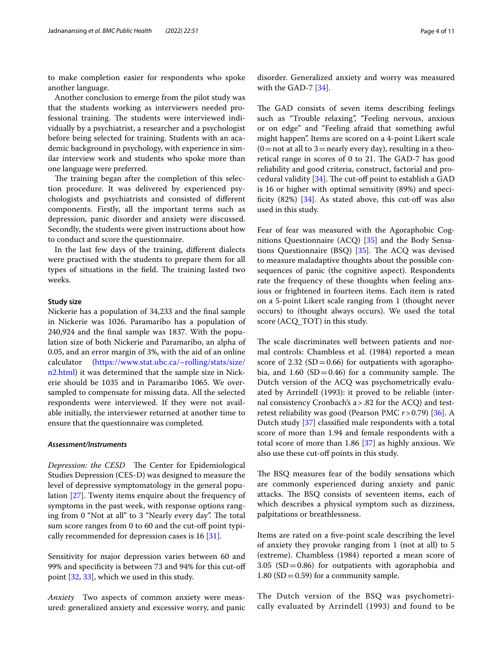to make completion easier for respondents who spoke another language.

Another conclusion to emerge from the pilot study was that the students working as interviewers needed professional training. The students were interviewed individually by a psychiatrist, a researcher and a psychologist before being selected for training. Students with an academic background in psychology, with experience in similar interview work and students who spoke more than one language were preferred.

The training began after the completion of this selection procedure. It was delivered by experienced psychologists and psychiatrists and consisted of diferent components. Firstly, all the important terms such as depression, panic disorder and anxiety were discussed. Secondly, the students were given instructions about how to conduct and score the questionnaire.

In the last few days of the training, diferent dialects were practised with the students to prepare them for all types of situations in the field. The training lasted two weeks.

#### **Study size**

Nickerie has a population of 34,233 and the fnal sample in Nickerie was 1026. Paramaribo has a population of 240,924 and the fnal sample was 1837. With the population size of both Nickerie and Paramaribo, an alpha of 0.05, and an error margin of 3%, with the aid of an online calculator [\(https://www.stat.ubc.ca/~rolling/stats/size/](https://www.stat.ubc.ca/~rolling/stats/size/n2.html) [n2.html\)](https://www.stat.ubc.ca/~rolling/stats/size/n2.html) it was determined that the sample size in Nickerie should be 1035 and in Paramaribo 1065. We oversampled to compensate for missing data. All the selected respondents were interviewed. If they were not available initially, the interviewer returned at another time to ensure that the questionnaire was completed.

## *Assessment/Instruments*

*Depression: the CESD* The Center for Epidemiological Studies Depression (CES-D) was designed to measure the level of depressive symptomatology in the general population [\[27](#page-9-25)]. Twenty items enquire about the frequency of symptoms in the past week, with response options ranging from 0 "Not at all" to 3 "Nearly every day". The total sum score ranges from 0 to 60 and the cut-off point typi-cally recommended for depression cases is 16 [\[31](#page-10-1)].

Sensitivity for major depression varies between 60 and 99% and specifcity is between 73 and 94% for this cut-of point [[32,](#page-10-2) [33](#page-10-3)], which we used in this study.

*Anxiety* Two aspects of common anxiety were measured: generalized anxiety and excessive worry, and panic disorder. Generalized anxiety and worry was measured with the GAD-7 [\[34\]](#page-10-4).

The GAD consists of seven items describing feelings such as "Trouble relaxing", "Feeling nervous, anxious or on edge" and "Feeling afraid that something awful might happen". Items are scored on a 4-point Likert scale  $(0=$  not at all to 3 = nearly every day), resulting in a theoretical range in scores of  $0$  to  $21$ . The GAD-7 has good reliability and good criteria, construct, factorial and procedural validity  $[34]$  $[34]$ . The cut-off point to establish a GAD is 16 or higher with optimal sensitivity (89%) and specificity  $(82%)$  [\[34](#page-10-4)]. As stated above, this cut-off was also used in this study.

Fear of fear was measured with the Agoraphobic Cognitions Questionnaire (ACQ) [\[35\]](#page-10-5) and the Body Sensations Questionnaire (BSQ)  $[35]$ . The ACQ was devised to measure maladaptive thoughts about the possible consequences of panic (the cognitive aspect). Respondents rate the frequency of these thoughts when feeling anxious or frightened in fourteen items. Each item is rated on a 5-point Likert scale ranging from 1 (thought never occurs) to (thought always occurs). We used the total score (ACQ\_TOT) in this study.

The scale discriminates well between patients and normal controls: Chambless et al. (1984) reported a mean score of 2.32 ( $SD = 0.66$ ) for outpatients with agoraphobia, and  $1.60$  (SD = 0.46) for a community sample. The Dutch version of the ACQ was psychometrically evaluated by Arrindell (1993): it proved to be reliable (internal consistency Cronbach's a>.82 for the ACQ) and testretest reliability was good (Pearson PMC *r*>0.79) [[36](#page-10-6)]. A Dutch study [[37\]](#page-10-7) classifed male respondents with a total score of more than 1.94 and female respondents with a total score of more than 1.86 [[37\]](#page-10-7) as highly anxious. We also use these cut-off points in this study.

The BSQ measures fear of the bodily sensations which are commonly experienced during anxiety and panic attacks. The BSQ consists of seventeen items, each of which describes a physical symptom such as dizziness, palpitations or breathlessness.

Items are rated on a fve-point scale describing the level of anxiety they provoke ranging from 1 (not at all) to 5 (extreme). Chambless (1984) reported a mean score of 3.05 (SD=0.86) for outpatients with agoraphobia and 1.80 ( $SD = 0.59$ ) for a community sample.

The Dutch version of the BSQ was psychometrically evaluated by Arrindell (1993) and found to be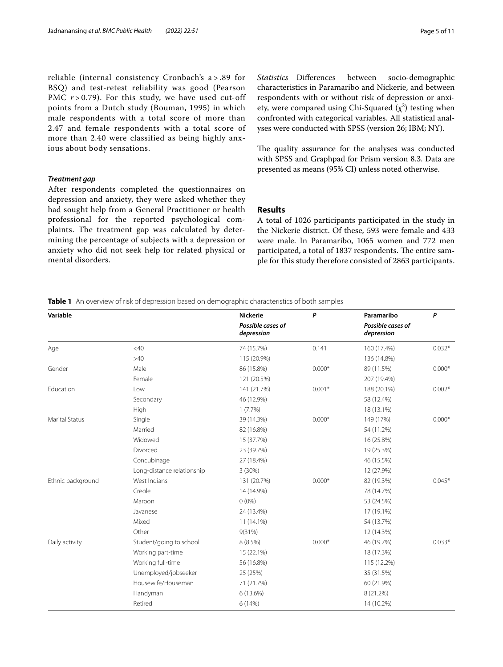reliable (internal consistency Cronbach's a > .89 for BSQ) and test-retest reliability was good (Pearson PMC  $r > 0.79$ ). For this study, we have used cut-off points from a Dutch study (Bouman, 1995) in which male respondents with a total score of more than 2.47 and female respondents with a total score of more than 2.40 were classified as being highly anxious about body sensations.

## *Treatment gap*

After respondents completed the questionnaires on depression and anxiety, they were asked whether they had sought help from a General Practitioner or health professional for the reported psychological complaints. The treatment gap was calculated by determining the percentage of subjects with a depression or anxiety who did not seek help for related physical or mental disorders.

*Statistics* Diferences between socio-demographic characteristics in Paramaribo and Nickerie, and between respondents with or without risk of depression or anxiety, were compared using Chi-Squared  $(\chi^2)$  testing when confronted with categorical variables. All statistical analyses were conducted with SPSS (version 26; IBM; NY).

The quality assurance for the analyses was conducted with SPSS and Graphpad for Prism version 8.3. Data are presented as means (95% CI) unless noted otherwise.

# **Results**

A total of 1026 participants participated in the study in the Nickerie district. Of these, 593 were female and 433 were male. In Paramaribo, 1065 women and 772 men participated, a total of 1837 respondents. The entire sample for this study therefore consisted of 2863 participants.

<span id="page-4-0"></span>**Table 1** An overview of risk of depression based on demographic characteristics of both samples

| Variable              |                            | <b>Nickerie</b>                 | P        | Paramaribo                      | P        |
|-----------------------|----------------------------|---------------------------------|----------|---------------------------------|----------|
|                       |                            | Possible cases of<br>depression |          | Possible cases of<br>depression |          |
| Age                   | $<$ 40                     | 74 (15.7%)                      | 0.141    | 160 (17.4%)                     | $0.032*$ |
|                       | >40                        | 115 (20.9%)                     |          | 136 (14.8%)                     |          |
| Gender                | Male                       | 86 (15.8%)                      | $0.000*$ | 89 (11.5%)                      | $0.000*$ |
|                       | Female                     | 121 (20.5%)                     |          | 207 (19.4%)                     |          |
| Education             | Low                        | 141 (21.7%)                     | $0.001*$ | 188 (20.1%)                     | $0.002*$ |
|                       | Secondary                  | 46 (12.9%)                      |          | 58 (12.4%)                      |          |
|                       | High                       | 1(7.7%)                         |          | 18 (13.1%)                      |          |
| <b>Marital Status</b> | Single                     | 39 (14.3%)                      | $0.000*$ | 149 (17%)                       | $0.000*$ |
|                       | Married                    | 82 (16.8%)                      |          | 54 (11.2%)                      |          |
|                       | Widowed                    | 15 (37.7%)                      |          | 16 (25.8%)                      |          |
|                       | Divorced                   | 23 (39.7%)                      |          | 19 (25.3%)                      |          |
|                       | Concubinage                | 27 (18.4%)                      |          | 46 (15.5%)                      |          |
|                       | Long-distance relationship | 3(30%)                          |          | 12 (27.9%)                      |          |
| Ethnic background     | West Indians               | 131 (20.7%)                     | $0.000*$ | 82 (19.3%)                      | $0.045*$ |
|                       | Creole                     | 14 (14.9%)                      |          | 78 (14.7%)                      |          |
|                       | Maroon                     | $0(0\%)$                        |          | 53 (24.5%)                      |          |
|                       | Javanese                   | 24 (13.4%)                      |          | 17 (19.1%)                      |          |
|                       | Mixed                      | 11 (14.1%)                      |          | 54 (13.7%)                      |          |
|                       | Other                      | 9(31%)                          |          | 12 (14.3%)                      |          |
| Daily activity        | Student/going to school    | 8(8.5%)                         | $0.000*$ | 46 (19.7%)                      | $0.033*$ |
|                       | Working part-time          | 15 (22.1%)                      |          | 18 (17.3%)                      |          |
|                       | Working full-time          | 56 (16.8%)                      |          | 115 (12.2%)                     |          |
|                       | Unemployed/jobseeker       | 25 (25%)                        |          | 35 (31.5%)                      |          |
|                       | Housewife/Houseman         | 71 (21.7%)                      |          | 60 (21.9%)                      |          |
|                       | Handyman                   | 6 (13.6%)                       |          | 8 (21.2%)                       |          |
|                       | Retired                    | 6 (14%)                         |          | 14 (10.2%)                      |          |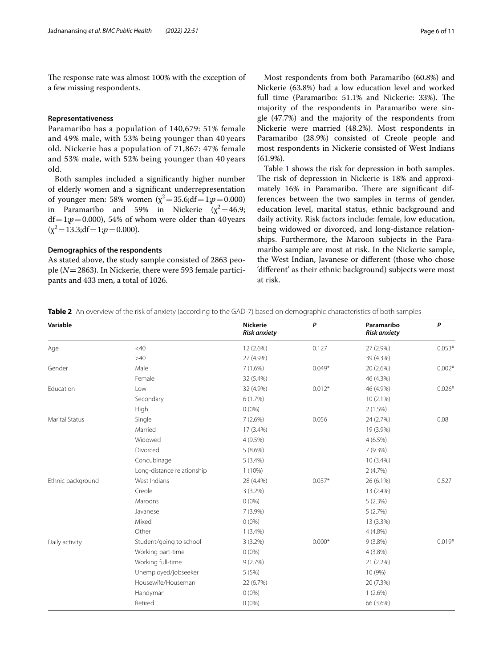The response rate was almost 100% with the exception of a few missing respondents.

# **Representativeness**

Paramaribo has a population of 140,679: 51% female and 49% male, with 53% being younger than 40 years old. Nickerie has a population of 71,867: 47% female and 53% male, with 52% being younger than 40 years old.

Both samples included a signifcantly higher number of elderly women and a signifcant underrepresentation of younger men: 58% women  $(\chi^2 = 35.6; df = 1; p = 0.000)$ in Paramaribo and 59% in Nickerie  $(\chi^2=46.9)$ ;  $df = 1; p = 0.000$ , 54% of whom were older than 40 years  $(\chi^2 = 13.3; df = 1; p = 0.000).$ 

## **Demographics of the respondents**

As stated above, the study sample consisted of 2863 people (*N*=2863). In Nickerie, there were 593 female participants and 433 men, a total of 1026.

Most respondents from both Paramaribo (60.8%) and Nickerie (63.8%) had a low education level and worked full time (Paramaribo: 51.1% and Nickerie: 33%). The majority of the respondents in Paramaribo were single (47.7%) and the majority of the respondents from Nickerie were married (48.2%). Most respondents in Paramaribo (28.9%) consisted of Creole people and most respondents in Nickerie consisted of West Indians (61.9%).

Table [1](#page-4-0) shows the risk for depression in both samples. The risk of depression in Nickerie is 18% and approximately 16% in Paramaribo. There are significant differences between the two samples in terms of gender, education level, marital status, ethnic background and daily activity. Risk factors include: female, low education, being widowed or divorced, and long-distance relationships. Furthermore, the Maroon subjects in the Paramaribo sample are most at risk. In the Nickerie sample, the West Indian, Javanese or diferent (those who chose 'diferent' as their ethnic background) subjects were most at risk.

<span id="page-5-0"></span>**Table 2** An overview of the risk of anxiety (according to the GAD-7) based on demographic characteristics of both samples

| Variable              |                            | <b>Nickerie</b><br><b>Risk anxiety</b> | P        | Paramaribo<br><b>Risk anxiety</b> | P        |
|-----------------------|----------------------------|----------------------------------------|----------|-----------------------------------|----------|
| Age                   | $<$ 40                     | 12 (2.6%)                              | 0.127    | 27 (2.9%)                         | $0.053*$ |
|                       | >40                        | 27 (4.9%)                              |          | 39 (4.3%)                         |          |
| Gender                | Male                       | 7(1.6%)                                | $0.049*$ | 20 (2.6%)                         | $0.002*$ |
|                       | Female                     | 32 (5.4%)                              |          | 46 (4.3%)                         |          |
| Education             | Low                        | 32 (4.9%)                              | $0.012*$ | 46 (4.9%)                         | $0.026*$ |
|                       | Secondary                  | 6(1.7%)                                |          | $10(2.1\%)$                       |          |
|                       | High                       | $0(0\%)$                               |          | 2(1.5%)                           |          |
| <b>Marital Status</b> | Single                     | 7(2.6%)                                | 0.056    | 24 (2.7%)                         | 0.08     |
|                       | Married                    | 17 (3.4%)                              |          | 19 (3.9%)                         |          |
|                       | Widowed                    | $4(9.5\%)$                             |          | $4(6.5\%)$                        |          |
|                       | Divorced                   | $5(8.6\%)$                             |          | $7(9.3\%)$                        |          |
|                       | Concubinage                | $5(3.4\%)$                             |          | 10 (3.4%)                         |          |
|                       | Long-distance relationship | $1(10\%)$                              |          | 2(4.7%)                           |          |
| Ethnic background     | West Indians               | 28 (4.4%)                              | $0.037*$ | 26 (6.1%)                         | 0.527    |
|                       | Creole                     | $3(3.2\%)$                             |          | 13 (2.4%)                         |          |
|                       | Maroons                    | $0(0\%)$                               |          | 5(2.3%)                           |          |
|                       | Javanese                   | $7(3.9\%)$                             |          | 5(2.7%)                           |          |
|                       | Mixed                      | $0(0\%)$                               |          | 13 (3.3%)                         |          |
|                       | Other                      | $1(3.4\%)$                             |          | $4(4.8\%)$                        |          |
| Daily activity        | Student/going to school    | $3(3.2\%)$                             | $0.000*$ | $9(3.8\%)$                        | $0.019*$ |
|                       | Working part-time          | $0(0\%)$                               |          | $4(3.8\%)$                        |          |
|                       | Working full-time          | 9(2.7%)                                |          | 21 (2.2%)                         |          |
|                       | Unemployed/jobseeker       | 5(5%)                                  |          | 10 (9%)                           |          |
|                       | Housewife/Houseman         | 22 (6.7%)                              |          | 20 (7.3%)                         |          |
|                       | Handyman                   | $0(0\%)$                               |          | $1(2.6\%)$                        |          |
|                       | Retired                    | $0(0\%)$                               |          | 66 (3.6%)                         |          |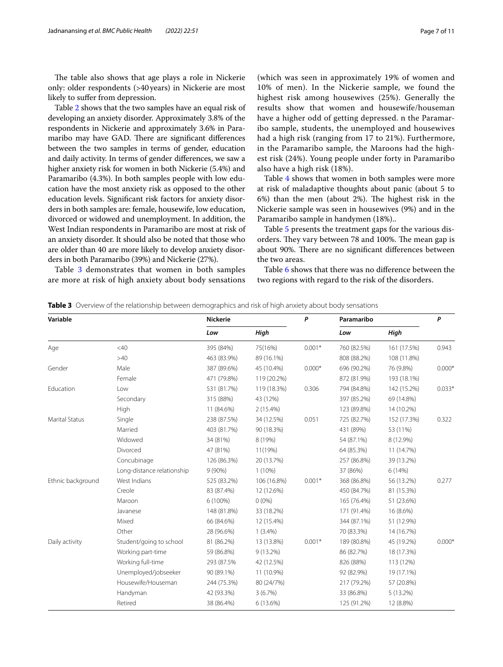The table also shows that age plays a role in Nickerie only: older respondents (>40years) in Nickerie are most likely to suffer from depression.

Table [2](#page-5-0) shows that the two samples have an equal risk of developing an anxiety disorder. Approximately 3.8% of the respondents in Nickerie and approximately 3.6% in Paramaribo may have GAD. There are significant differences between the two samples in terms of gender, education and daily activity. In terms of gender diferences, we saw a higher anxiety risk for women in both Nickerie (5.4%) and Paramaribo (4.3%). In both samples people with low education have the most anxiety risk as opposed to the other education levels. Signifcant risk factors for anxiety disorders in both samples are: female, housewife, low education, divorced or widowed and unemployment. In addition, the West Indian respondents in Paramaribo are most at risk of an anxiety disorder. It should also be noted that those who are older than 40 are more likely to develop anxiety disorders in both Paramaribo (39%) and Nickerie (27%).

Table [3](#page-6-0) demonstrates that women in both samples are more at risk of high anxiety about body sensations (which was seen in approximately 19% of women and 10% of men). In the Nickerie sample, we found the highest risk among housewives (25%). Generally the results show that women and housewife/houseman have a higher odd of getting depressed. n the Paramaribo sample, students, the unemployed and housewives had a high risk (ranging from 17 to 21%). Furthermore, in the Paramaribo sample, the Maroons had the highest risk (24%). Young people under forty in Paramaribo also have a high risk (18%).

Table [4](#page-7-0) shows that women in both samples were more at risk of maladaptive thoughts about panic (about 5 to  $6\%$ ) than the men (about  $2\%$ ). The highest risk in the Nickerie sample was seen in housewives (9%) and in the Paramaribo sample in handymen (18%)..

Table [5](#page-7-1) presents the treatment gaps for the various disorders. They vary between 78 and 100%. The mean gap is about 90%. There are no significant differences between the two areas.

Table [6](#page-8-0) shows that there was no diference between the two regions with regard to the risk of the disorders.

<span id="page-6-0"></span>

| <b>Table 3</b> Overview of the relationship between demographics and risk of high anxiety about body sensations |  |  |  |
|-----------------------------------------------------------------------------------------------------------------|--|--|--|
|-----------------------------------------------------------------------------------------------------------------|--|--|--|

| Variable              |                            | <b>Nickerie</b> |             | P        | Paramaribo  |             | P        |
|-----------------------|----------------------------|-----------------|-------------|----------|-------------|-------------|----------|
|                       |                            | Low             | High        |          | Low         | High        |          |
| Age                   | $<$ 40                     | 395 (84%)       | 75(16%)     | $0.001*$ | 760 (82.5%) | 161 (17.5%) | 0.943    |
|                       | >40                        | 463 (83.9%)     | 89 (16.1%)  |          | 808 (88.2%) | 108 (11.8%) |          |
| Gender                | Male                       | 387 (89.6%)     | 45 (10.4%)  | $0.000*$ | 696 (90.2%) | 76 (9.8%)   | $0.000*$ |
|                       | Female                     | 471 (79.8%)     | 119 (20.2%) |          | 872 (81.9%) | 193 (18.1%) |          |
| Education             | Low                        | 531 (81.7%)     | 119 (18.3%) | 0.306    | 794 (84.8%) | 142 (15.2%) | $0.033*$ |
|                       | Secondary                  | 315 (88%)       | 43 (12%)    |          | 397 (85.2%) | 69 (14.8%)  |          |
|                       | High                       | 11 (84.6%)      | $2(15.4\%)$ |          | 123 (89.8%) | 14 (10.2%)  |          |
| <b>Marital Status</b> | Single                     | 238 (87.5%)     | 34 (12.5%)  | 0.051    | 725 (82.7%) | 152 (17.3%) | 0.322    |
|                       | Married                    | 403 (81.7%)     | 90 (18.3%)  |          | 431 (89%)   | 53 (11%)    |          |
|                       | Widowed                    | 34 (81%)        | 8 (19%)     |          | 54 (87.1%)  | 8 (12.9%)   |          |
|                       | Divorced                   | 47 (81%)        | 11(19%)     |          | 64 (85.3%)  | 11 (14.7%)  |          |
|                       | Concubinage                | 126 (86.3%)     | 20 (13.7%)  |          | 257 (86.8%) | 39 (13.2%)  |          |
|                       | Long-distance relationship | $9(90\%)$       | $1(10\%)$   |          | 37 (86%)    | 6(14%)      |          |
| Ethnic background     | West Indians               | 525 (83.2%)     | 106 (16.8%) | $0.001*$ | 368 (86.8%) | 56 (13.2%)  | 0.277    |
|                       | Creole                     | 83 (87.4%)      | 12 (12.6%)  |          | 450 (84.7%) | 81 (15.3%)  |          |
|                       | Maroon                     | 6 (100%)        | $0(0\%)$    |          | 165 (76.4%) | 51 (23.6%)  |          |
|                       | Javanese                   | 148 (81.8%)     | 33 (18.2%)  |          | 171 (91.4%) | 16 (8.6%)   |          |
|                       | Mixed                      | 66 (84.6%)      | 12 (15.4%)  |          | 344 (87.1%) | 51 (12.9%)  |          |
|                       | Other                      | 28 (96.6%)      | $1(3.4\%)$  |          | 70 (83.3%)  | 14 (16.7%)  |          |
| Daily activity        | Student/going to school    | 81 (86.2%)      | 13 (13.8%)  | $0.001*$ | 189 (80.8%) | 45 (19.2%)  | $0.000*$ |
|                       | Working part-time          | 59 (86.8%)      | 9 (13.2%)   |          | 86 (82.7%)  | 18 (17.3%)  |          |
|                       | Working full-time          | 293 (87.5%)     | 42 (12.5%)  |          | 826 (88%)   | 113 (12%)   |          |
|                       | Unemployed/jobseeker       | 90 (89.1%)      | 11 (10.9%)  |          | 92 (82.9%)  | 19 (17.1%)  |          |
|                       | Housewife/Houseman         | 244 (75.3%)     | 80 (24/7%)  |          | 217 (79.2%) | 57 (20.8%)  |          |
|                       | Handyman                   | 42 (93.3%)      | 3(6.7%)     |          | 33 (86.8%)  | 5(13.2%)    |          |
|                       | Retired                    | 38 (86.4%)      | 6 (13.6%)   |          | 125 (91.2%) | 12 (8.8%)   |          |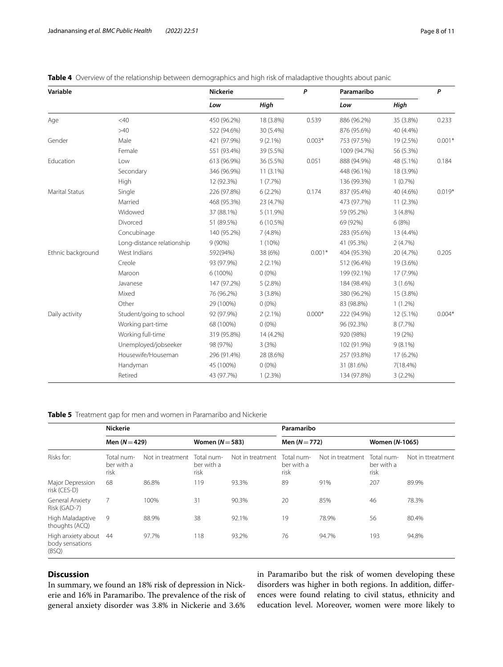| Variable              |                            | <b>Nickerie</b> |             |          | Paramaribo   |            | P        |
|-----------------------|----------------------------|-----------------|-------------|----------|--------------|------------|----------|
|                       |                            | Low             | High        |          | Low          | High       |          |
| Age                   | $<$ 40                     | 450 (96.2%)     | 18 (3.8%)   | 0.539    | 886 (96.2%)  | 35 (3.8%)  | 0.233    |
|                       | $>40$                      | 522 (94.6%)     | 30 (5.4%)   |          | 876 (95.6%)  | 40 (4.4%)  |          |
| Gender                | Male                       | 421 (97.9%)     | $9(2.1\%)$  | $0.003*$ | 753 (97.5%)  | 19 (2.5%)  | $0.001*$ |
|                       | Female                     | 551 (93.4%)     | 39 (5.5%)   |          | 1009 (94.7%) | 56 (5.3%)  |          |
| Education             | Low                        | 613 (96.9%)     | 36 (5.5%)   | 0.051    | 888 (94.9%)  | 48 (5.1%)  | 0.184    |
|                       | Secondary                  | 346 (96.9%)     | $11(3.1\%)$ |          | 448 (96.1%)  | 18 (3.9%)  |          |
|                       | <b>High</b>                | 12 (92.3%)      | $1(7.7\%)$  |          | 136 (99.3%)  | 1(0.7%)    |          |
| <b>Marital Status</b> | Single                     | 226 (97.8%)     | $6(2.2\%)$  | 0.174    | 837 (95.4%)  | 40 (4.6%)  | $0.019*$ |
|                       | Married                    | 468 (95.3%)     | 23 (4.7%)   |          | 473 (97.7%)  | 11 (2.3%)  |          |
|                       | Widowed                    | 37 (88.1%)      | 5 (11.9%)   |          | 59 (95.2%)   | $3(4.8\%)$ |          |
|                       | Divorced                   | 51 (89.5%)      | 6 (10.5%)   |          | 69 (92%)     | 6(8%)      |          |
|                       | Concubinage                | 140 (95.2%)     | 7(4.8%)     |          | 283 (95.6%)  | 13 (4.4%)  |          |
|                       | Long-distance relationship | $9(90\%)$       | $1(10\%)$   |          | 41 (95.3%)   | 2(4.7%)    |          |
| Ethnic background     | West Indians               | 592(94%)        | 38 (6%)     | $0.001*$ | 404 (95.3%)  | 20 (4.7%)  | 0.205    |
|                       | Creole                     | 93 (97.9%)      | $2(2.1\%)$  |          | 512 (96.4%)  | 19 (3.6%)  |          |
|                       | Maroon                     | 6 (100%)        | $0(0\%)$    |          | 199 (92.1%)  | 17 (7.9%)  |          |
|                       | Javanese                   | 147 (97.2%)     | 5(2.8%)     |          | 184 (98.4%)  | $3(1.6\%)$ |          |
|                       | Mixed                      | 76 (96.2%)      | 3(3.8%)     |          | 380 (96.2%)  | 15 (3.8%)  |          |
|                       | Other                      | 29 (100%)       | $0(0\%)$    |          | 83 (98.8%)   | $1(1.2\%)$ |          |
| Daily activity        | Student/going to school    | 92 (97.9%)      | $2(2.1\%)$  | $0.000*$ | 222 (94.9%)  | 12 (5.1%)  | $0.004*$ |
|                       | Working part-time          | 68 (100%)       | $0(0\%)$    |          | 96 (92.3%)   | 8(7.7%)    |          |
|                       | Working full-time          | 319 (95.8%)     | 14 (4.2%)   |          | 920 (98%)    | 19 (2%)    |          |
|                       | Unemployed/jobseeker       | 98 (97%)        | 3(3%)       |          | 102 (91.9%)  | $9(8.1\%)$ |          |
|                       | Housewife/Houseman         | 296 (91.4%)     | 28 (8.6%)   |          | 257 (93.8%)  | 17 (6.2%)  |          |
|                       | Handyman                   | 45 (100%)       | $0(0\%)$    |          | 31 (81.6%)   | 7(18.4%)   |          |
|                       | Retired                    | 43 (97.7%)      | 1(2.3%)     |          | 134 (97.8%)  | 3(2.2%)    |          |

<span id="page-7-0"></span>**Table 4** Overview of the relationship between demographics and high risk of maladaptive thoughts about panic

<span id="page-7-1"></span>**Table 5** Treatment gap for men and women in Paramaribo and Nickerie

|                                                | <b>Nickerie</b>                  |                  |                                  |                  | Paramaribo                       |                  |                                  |                   |
|------------------------------------------------|----------------------------------|------------------|----------------------------------|------------------|----------------------------------|------------------|----------------------------------|-------------------|
| Risks for:                                     | Men $(N = 429)$                  |                  | Women $(N=583)$                  |                  | Men $(N = 772)$                  |                  | Women (N-1065)                   |                   |
|                                                | Total num-<br>ber with a<br>risk | Not in treatment | Total num-<br>ber with a<br>risk | Not in treatment | Total num-<br>ber with a<br>risk | Not in treatment | Total num-<br>ber with a<br>risk | Not in ttreatment |
| Major Depression<br>risk (CES-D)               | 68                               | 86.8%            | 119                              | 93.3%            | 89                               | 91%              | 207                              | 89.9%             |
| General Anxiety<br>Risk (GAD-7)                | 7                                | 100%             | 31                               | 90.3%            | 20                               | 85%              | 46                               | 78.3%             |
| High Maladaptive<br>thoughts (ACQ)             | 9                                | 88.9%            | 38                               | 92.1%            | 19                               | 78.9%            | 56                               | 80.4%             |
| High anxiety about<br>body sensations<br>(BSQ) | 44                               | 97.7%            | 118                              | 93.2%            | 76                               | 94.7%            | 193                              | 94.8%             |

# **Discussion**

In summary, we found an 18% risk of depression in Nickerie and 16% in Paramaribo. The prevalence of the risk of general anxiety disorder was 3.8% in Nickerie and 3.6%

in Paramaribo but the risk of women developing these disorders was higher in both regions. In addition, diferences were found relating to civil status, ethnicity and education level. Moreover, women were more likely to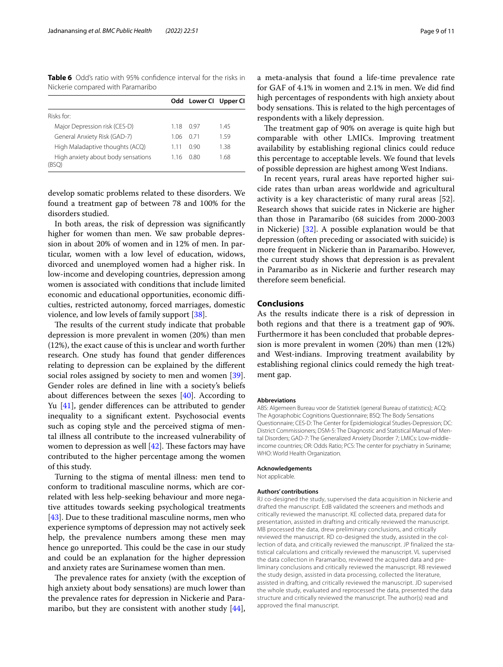<span id="page-8-0"></span>**Table 6** Odd's ratio with 95% confdence interval for the risks in Nickerie compared with Paramaribo

|                                             |       | Odd Lower Cl Upper Cl |      |
|---------------------------------------------|-------|-----------------------|------|
| Risks for:                                  |       |                       |      |
| Major Depression risk (CES-D)               | 118   | (197                  | 145  |
| General Anxiety Risk (GAD-7)                | 1 06  | 0.71                  | 159  |
| High Maladaptive thoughts (ACQ)             | 1 1 1 | O 90                  | 1.38 |
| High anxiety about body sensations<br>(RSO) | 116   | 0.80                  | 1.68 |

develop somatic problems related to these disorders. We found a treatment gap of between 78 and 100% for the disorders studied.

In both areas, the risk of depression was signifcantly higher for women than men. We saw probable depression in about 20% of women and in 12% of men. In particular, women with a low level of education, widows, divorced and unemployed women had a higher risk. In low-income and developing countries, depression among women is associated with conditions that include limited economic and educational opportunities, economic difficulties, restricted autonomy, forced marriages, domestic violence, and low levels of family support [[38\]](#page-10-8).

The results of the current study indicate that probable depression is more prevalent in women (20%) than men (12%), the exact cause of this is unclear and worth further research. One study has found that gender diferences relating to depression can be explained by the diferent social roles assigned by society to men and women [\[39](#page-10-9)]. Gender roles are defned in line with a society's beliefs about diferences between the sexes [\[40](#page-10-10)]. According to Yu [[41](#page-10-11)], gender diferences can be attributed to gender inequality to a signifcant extent. Psychosocial events such as coping style and the perceived stigma of mental illness all contribute to the increased vulnerability of women to depression as well  $[42]$  $[42]$ . These factors may have contributed to the higher percentage among the women of this study.

Turning to the stigma of mental illness: men tend to conform to traditional masculine norms, which are correlated with less help-seeking behaviour and more negative attitudes towards seeking psychological treatments [[43\]](#page-10-13). Due to these traditional masculine norms, men who experience symptoms of depression may not actively seek help, the prevalence numbers among these men may hence go unreported. This could be the case in our study and could be an explanation for the higher depression and anxiety rates are Surinamese women than men.

The prevalence rates for anxiety (with the exception of high anxiety about body sensations) are much lower than the prevalence rates for depression in Nickerie and Para-maribo, but they are consistent with another study [\[44](#page-10-14)], a meta-analysis that found a life-time prevalence rate for GAF of 4.1% in women and 2.1% in men. We did fnd high percentages of respondents with high anxiety about body sensations. This is related to the high percentages of respondents with a likely depression.

The treatment gap of 90% on average is quite high but comparable with other LMICs. Improving treatment availability by establishing regional clinics could reduce this percentage to acceptable levels. We found that levels of possible depression are highest among West Indians.

In recent years, rural areas have reported higher suicide rates than urban areas worldwide and agricultural activity is a key characteristic of many rural areas [52]. Research shows that suicide rates in Nickerie are higher than those in Paramaribo (68 suicides from 2000-2003 in Nickerie) [[32](#page-10-2)]. A possible explanation would be that depression (often preceding or associated with suicide) is more frequent in Nickerie than in Paramaribo. However, the current study shows that depression is as prevalent in Paramaribo as in Nickerie and further research may therefore seem beneficial.

# **Conclusions**

As the results indicate there is a risk of depression in both regions and that there is a treatment gap of 90%. Furthermore it has been concluded that probable depression is more prevalent in women (20%) than men (12%) and West-indians. Improving treatment availability by establishing regional clinics could remedy the high treatment gap.

#### **Abbreviations**

ABS: Algemeen Bureau voor de Statistiek (general Bureau of statistics); ACQ: The Agoraphobic Cognitions Questionnaire; BSQ: The Body Sensations Questionnaire; CES-D: The Center for Epidemiological Studies-Depression; DC: District Commissioners; DSM-5: The Diagnostic and Statistical Manual of Mental Disorders; GAD-7: The Generalized Anxiety Disorder 7; LMICs: Low-middleincome countries; OR: Odds Ratio; PCS: The center for psychiatry in Suriname; WHO: World Health Organization.

# **Acknowledgements**

Not applicable.

#### **Authors' contributions**

RJ co-designed the study, supervised the data acquisition in Nickerie and drafted the manuscript. EdB validated the screeners and methods and critically reviewed the manuscript. KE collected data, prepared data for presentation, assisted in drafting and critically reviewed the manuscript. MB processed the data, drew preliminary conclusions, and critically reviewed the manuscript. RD co-designed the study, assisted in the collection of data, and critically reviewed the manuscript. JP finalized the statistical calculations and critically reviewed the manuscript. VL supervised the data collection in Paramaribo, reviewed the acquired data and preliminary conclusions and critically reviewed the manuscript. RB reviewed the study design, assisted in data processing, collected the literature, assisted in drafting, and critically reviewed the manuscript. JD supervised the whole study, evaluated and reprocessed the data, presented the data structure and critically reviewed the manuscript. The author(s) read and approved the final manuscript.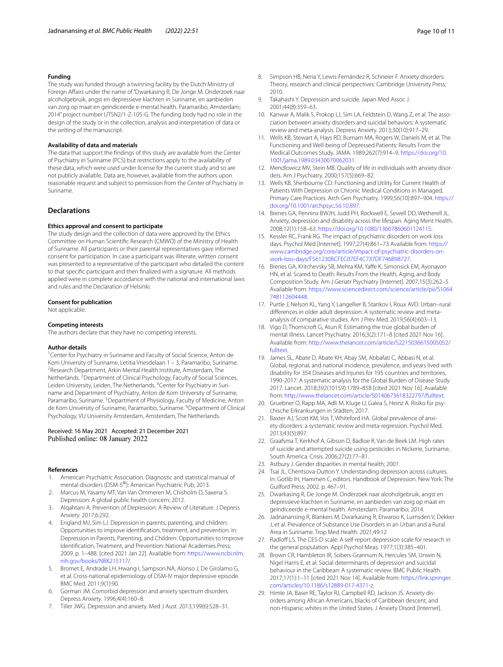#### **Funding**

The study was funded through a twinning facility by the Dutch Ministry of Foreign Afairs under the name of "Dwarkasing R, De Jonge M. Onderzoek naar alcoholgebruik, angst en depressieve klachten in Suriname, en aanbieden van zorg op maat en geïndiceerde e-mental health. Paramaribo, Amsterdam; 2014" project number UTSN2/1-Z-105-G. The funding body had no role in the design of the study or in the collection, analysis and interpretation of data or the writing of the manuscript.

#### **Availability of data and materials**

The data that support the fndings of this study are available from the Center of Psychiatry in Suriname (PCS) but restrictions apply to the availability of these data, which were used under license for the current study and so are not publicly available. Data are, however, available from the authors upon reasonable request and subject to permission from the Center of Psychiatry in Suriname.

# **Declarations**

#### **Ethics approval and consent to participate**

The study design and the collection of data were approved by the Ethics Committee on Human Scientifc Research (CMWO) of the Ministry of Health of Suriname. All participants or their parental representatives gave informed consent for participation. In case a participant was illiterate, written consent was presented to a representative of the participant who detailed the content to that specifc participant and then fnalized with a signature. All methods applied were in complete accordance with the national and international laws and rules and the Declaration of Helsinki.

#### **Consent for publication**

Not applicable.

#### **Competing interests**

The authors declare that they have no competing interests.

#### **Author details**

<sup>1</sup> Center for Psychiatry in Suriname and Faculty of Social Science, Anton de Kom University of Suriname, Letitia Vriesdelaan 1 – 3, Paramaribo, Suriname. 2 <sup>2</sup> Research Department, Arkin Mental Health Institute, Amsterdam, The Netherlands. <sup>3</sup> Department of Clinical Psychology, Faculty of Social Sciences, Leiden University, Leiden, The Netherlands. <sup>4</sup> Center for Psychiatry in Suriname and Department of Psychiatry, Anton de Kom University of Suriname, Paramaribo, Suriname. <sup>5</sup> Department of Physiology, Faculty of Medicine, Anton de Kom University of Suriname, Paramaribo, Suriname. <sup>6</sup> Department of Clinical Psychology, VU University Amsterdam, Amsterdam, The Netherlands.

## Received: 16 May 2021 Accepted: 21 December 2021 Published online: 08 January 2022

#### **References**

- <span id="page-9-0"></span>American Psychiatric Association. Diagnostic and statistical manual of mental disorders (DSM-5®): American Psychiatric Pub; 2013.
- <span id="page-9-1"></span>2. Marcus M, Yasamy MT, Van Van Ommeren M, Chisholm D, Saxena S. Depression: A global public health concern; 2012.
- <span id="page-9-2"></span>3. Alqahtani A. Prevention of Depression: A Review of Literature. J Depress Anxiety. 2017;6:292.
- <span id="page-9-3"></span>England MJ, Sim LJ. Depression in parents, parenting, and children: Opportunities to improve identifcation, treatment, and prevention. In: Depression in Parents, Parenting, and Children: Opportunities to Improve Identifcation, Treatment, and Prevention: National Academies Press; 2009. p. 1–488. [cited 2021 Jan 22]. Available from: [https://www.ncbi.nlm.](https://www.ncbi.nlm.nih.gov/books/NBK215117/) [nih.gov/books/NBK215117/](https://www.ncbi.nlm.nih.gov/books/NBK215117/).
- <span id="page-9-4"></span>5. Bromet E, Andrade LH, Hwang I, Sampson NA, Alonso J, De Girolamo G, et al. Cross-national epidemiology of DSM-IV major depressive episode. BMC Med. 2011;9(1):90.
- <span id="page-9-5"></span>6. Gorman JM. Comorbid depression and anxiety spectrum disorders. Depress Anxiety. 1996;4(4):160–8.
- <span id="page-9-6"></span>7. Tiller JWG. Depression and anxiety. Med J Aust. 2013;199(6):S28–31.
- <span id="page-9-7"></span>8. Simpson HB, Neria Y, Lewis-Fernández R, Schneier F. Anxiety disorders: Theory, research and clinical perspectives: Cambridge University Press; 2010.
- <span id="page-9-8"></span>9. Takahashi Y. Depression and suicide. Japan Med Assoc J. 2001;44(8):359–63.
- <span id="page-9-9"></span>10. Kanwar A, Malik S, Prokop LJ, Sim LA, Feldstein D, Wang Z, et al. The association between anxiety disorders and suicidal behaviors: A systematic review and meta-analysis. Depress Anxiety. 2013;30(10):917–29.
- <span id="page-9-10"></span>11. Wells KB, Stewart A, Hays RD, Burnam MA, Rogers W, Daniels M, et al. The Functioning and Well-being of Depressed Patients: Results From the Medical Outcomes Study. JAMA. 1989;262(7):914–9. [https://doi.org/10.](https://doi.org/10.1001/jama.1989.03430070062031) [1001/jama.1989.03430070062031](https://doi.org/10.1001/jama.1989.03430070062031).
- <span id="page-9-11"></span>12. Mendlowicz MV, Stein MB. Quality of life in individuals with anxiety disorders. Am J Psychiatry. 2000;157(5):669–82.
- <span id="page-9-12"></span>13. Wells KB, Sherbourne CD. Functioning and Utility for Current Health of Patients With Depression or Chronic Medical Conditions in Managed, Primary Care Practices. Arch Gen Psychiatry. 1999;56(10):897–904. [https://](https://doi.org/10.1001/archpsyc.56.10.897) [doi.org/10.1001/archpsyc.56.10.897](https://doi.org/10.1001/archpsyc.56.10.897).
- <span id="page-9-13"></span>14. Brenes GA, Penninx BWJH, Judd PH, Rockwell E, Sewell DD, Wetherell JL. Anxiety, depression and disability across the lifespan. Aging Ment Health. 2008;12(1):158–63. [https://doi.org/10.1080/13607860601124115.](https://doi.org/10.1080/13607860601124115)
- 15. Kessler RC, Frank RG. The impact of psychiatric disorders on work loss days. Psychol Med [Internet]. 1997;27(4):861–73 Available from: [https://](https://www.cambridge.org/core/article/impact-of-psychiatric-disorders-on-work-loss-days/F561230BCFEC07EF4C737DF746B98727) [www.cambridge.org/core/article/impact-of-psychiatric-disorders-on](https://www.cambridge.org/core/article/impact-of-psychiatric-disorders-on-work-loss-days/F561230BCFEC07EF4C737DF746B98727)[work-loss-days/F561230BCFEC07EF4C737DF746B98727.](https://www.cambridge.org/core/article/impact-of-psychiatric-disorders-on-work-loss-days/F561230BCFEC07EF4C737DF746B98727)
- <span id="page-9-14"></span>16. Brenes GA, Kritchevsky SB, Mehta KM, Yafe K, Simonsick EM, Ayonayon HN, et al. Scared to Death: Results From the Health, Aging, and Body Composition Study. Am J Geriatr Psychiatry [Internet]. 2007;15(3):262–5 Available from: [https://www.sciencedirect.com/science/article/pii/S1064](https://www.sciencedirect.com/science/article/pii/S1064748112604448) [748112604448.](https://www.sciencedirect.com/science/article/pii/S1064748112604448)
- <span id="page-9-15"></span>17. Purtle J, Nelson KL, Yang Y, Langellier B, Stankov I, Roux AVD. Urban–rural diferences in older adult depression: A systematic review and metaanalysis of comparative studies. Am J Prev Med. 2019;56(4):603–13.
- <span id="page-9-16"></span>18. Vigo D, Thornicroft G, Atun R. Estimating the true global burden of mental illness. Lancet Psychiatry. 2016;3(2):171–8 [cited 2021 Nov 16]. Available from: [http://www.thelancet.com/article/S2215036615005052/](http://www.thelancet.com/article/S2215036615005052/fulltext) [fulltext](http://www.thelancet.com/article/S2215036615005052/fulltext).
- <span id="page-9-17"></span>19. James SL, Abate D, Abate KH, Abay SM, Abbafati C, Abbasi N, et al. Global, regional, and national incidence, prevalence, and years lived with disability for 354 Diseases and Injuries for 195 countries and territories, 1990-2017: A systematic analysis for the Global Burden of Disease Study 2017. Lancet. 2018;392(10159):1789–858 [cited 2021 Nov 16]. Available from: [http://www.thelancet.com/article/S0140673618322797/fulltext.](http://www.thelancet.com/article/S0140673618322797/fulltext)
- <span id="page-9-18"></span>20. Gruebner O, Rapp MA, Adli M, Kluge U, Galea S, Heinz A. Risiko für psychische Erkrankungen in Städten; 2017.
- <span id="page-9-19"></span>21. Baxter AJ, Scott KM, Vos T, Whiteford HA. Global prevalence of anxiety disorders: a systematic review and meta-regression. Psychol Med. 2013;43(5):897.
- <span id="page-9-20"></span>22. Graafsma T, Kerkhof A, Gibson D, Badloe R, Van de Beek LM. High rates of suicide and attempted suicide using pesticides in Nickerie, Suriname, South America. Crisis. 2006;27(2):77–81.
- <span id="page-9-21"></span>23. Astbury J. Gender disparities in mental health; 2001.
- <span id="page-9-22"></span>24. Tsai JL, Chentsova-Dutton Y. Understanding depression across cultures. In: Gotlib IH, Hammen C, editors. Handbook of Depression. New York: The Guilford Press; 2002. p. 467–91.
- <span id="page-9-23"></span>25. Dwarkasing R, De Jonge M. Onderzoek naar alcoholgebruik, angst en depressieve klachten in Suriname, en aanbieden van zorg op maat en geïndiceerde e-mental health. Amsterdam: Paramaribo; 2014.
- <span id="page-9-24"></span>26. Jadnanansing R, Blankers M, Dwarkasing R, Etwaroo K, Lumsden V, Dekker J, et al. Prevalence of Substance Use Disorders in an Urban and a Rural Area in Suriname. Trop Med Health. 2021;49:12
- <span id="page-9-25"></span>27. Radloff LS. The CES-D scale: A self-report depression scale for research in the general population. Appl Psychol Meas. 1977;1(3):385–401.
- <span id="page-9-26"></span>28. Brown CR, Hambleton IR, Sobers-Grannum N, Hercules SM, Unwin N, Nigel Harris E, et al. Social determinants of depression and suicidal behaviour in the Caribbean: A systematic review. BMC Public Health. 2017;17(1):1–11 [cited 2021 Nov 14]. Available from: [https://link.springer.](http://dx.doi.org/10.1186/s12889-017-4371-z) [com/articles/10.1186/s12889-017-4371-z.](http://dx.doi.org/10.1186/s12889-017-4371-z)
- <span id="page-9-27"></span>29. Himle JA, Baser RE, Taylor RJ, Campbell RD, Jackson JS. Anxiety disorders among African Americans, blacks of Caribbean descent, and non-Hispanic whites in the United States. J Anxiety Disord [Internet].